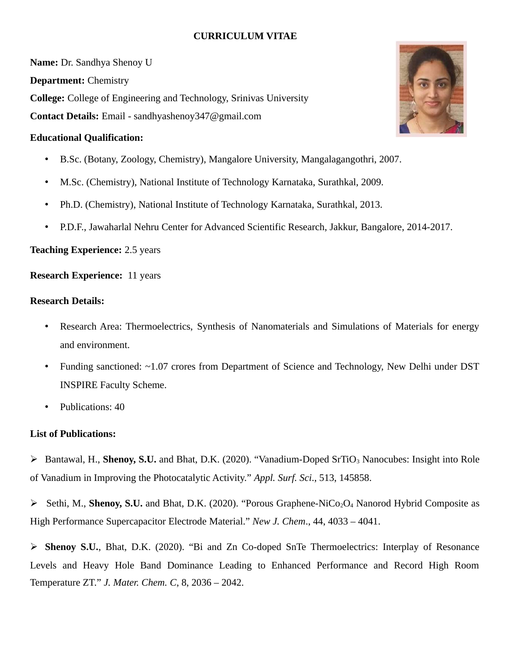# **CURRICULUM VITAE**

**Name:** Dr. Sandhya Shenoy U **Department:** Chemistry **College:** College of Engineering and Technology, Srinivas University **Contact Details:** Email - sandhyashenoy347@gmail.com

### **Educational Qualification:**

- B.Sc. (Botany, Zoology, Chemistry), Mangalore University, Mangalagangothri, 2007.
- M.Sc. (Chemistry), National Institute of Technology Karnataka, Surathkal, 2009.
- Ph.D. (Chemistry), National Institute of Technology Karnataka, Surathkal, 2013.
- P.D.F., Jawaharlal Nehru Center for Advanced Scientific Research, Jakkur, Bangalore, 2014-2017.

## **Teaching Experience:** 2.5 years

**Research Experience:** 11 years

#### **Research Details:**

- Research Area: Thermoelectrics, Synthesis of Nanomaterials and Simulations of Materials for energy and environment.
- Funding sanctioned: ~1.07 crores from Department of Science and Technology, New Delhi under DST INSPIRE Faculty Scheme.
- Publications: 40

#### **List of Publications:**

- Bantawal, H., **Shenoy, S.U.** and Bhat, D.K. (2020). "Vanadium-Doped SrTiO3 Nanocubes: Insight into Role of Vanadium in Improving the Photocatalytic Activity." *Appl. Surf. Sci*., 513, 145858.
- ▶ Sethi, M., **Shenoy, S.U.** and Bhat, D.K. (2020). "Porous Graphene-NiCo<sub>2</sub>O<sub>4</sub> Nanorod Hybrid Composite as High Performance Supercapacitor Electrode Material." *New J. Chem*., 44, 4033 – 4041.

 **Shenoy S.U.**, Bhat, D.K. (2020). "Bi and Zn Co-doped SnTe Thermoelectrics: Interplay of Resonance Levels and Heavy Hole Band Dominance Leading to Enhanced Performance and Record High Room Temperature ZT." *J. Mater. Chem. C*, 8, 2036 – 2042.

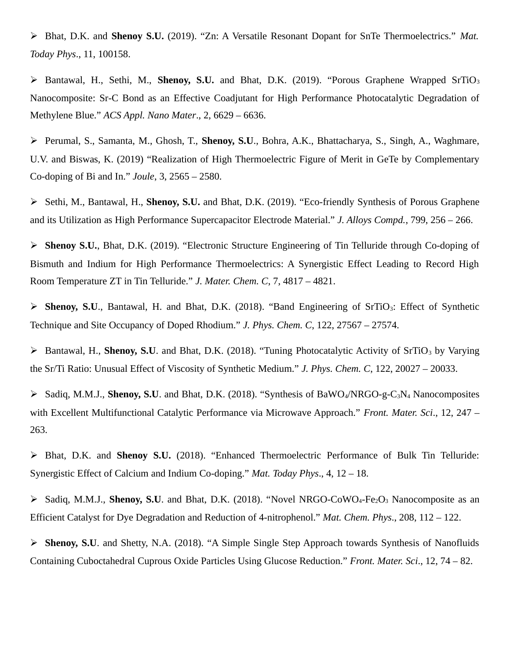Bhat, D.K. and **Shenoy S.U.** (2019). "Zn: A Versatile Resonant Dopant for SnTe Thermoelectrics." *Mat. Today Phys*., 11, 100158.

 Bantawal, H., Sethi, M., **Shenoy, S.U.** and Bhat, D.K. (2019). "Porous Graphene Wrapped SrTiO<sup>3</sup> Nanocomposite: Sr-C Bond as an Effective Coadjutant for High Performance Photocatalytic Degradation of Methylene Blue." *ACS Appl. Nano Mater*., 2, 6629 – 6636.

 Perumal, S., Samanta, M., Ghosh, T., **Shenoy, S.U**., Bohra, A.K., Bhattacharya, S., Singh, A., Waghmare, U.V. and Biswas, K. (2019) "Realization of High Thermoelectric Figure of Merit in GeTe by Complementary Co-doping of Bi and In." *Joule*, 3, 2565 – 2580.

 Sethi, M., Bantawal, H., **Shenoy, S.U.** and Bhat, D.K. (2019). "Eco-friendly Synthesis of Porous Graphene and its Utilization as High Performance Supercapacitor Electrode Material." *J. Alloys Compd.*, 799, 256 – 266.

 **Shenoy S.U.**, Bhat, D.K. (2019). "Electronic Structure Engineering of Tin Telluride through Co-doping of Bismuth and Indium for High Performance Thermoelectrics: A Synergistic Effect Leading to Record High Room Temperature ZT in Tin Telluride." *J. Mater. Chem. C*, 7, 4817 – 4821.

 **Shenoy, S.U**., Bantawal, H. and Bhat, D.K. (2018). "Band Engineering of SrTiO3: Effect of Synthetic Technique and Site Occupancy of Doped Rhodium." *J. Phys. Chem. C*, 122, 27567 – 27574.

 $\triangleright$  Bantawal, H., **Shenoy, S.U**. and Bhat, D.K. (2018). "Tuning Photocatalytic Activity of SrTiO<sub>3</sub> by Varying the Sr/Ti Ratio: Unusual Effect of Viscosity of Synthetic Medium." *J. Phys. Chem. C*, 122, 20027 – 20033.

 Sadiq, M.M.J., **Shenoy, S.U**. and Bhat, D.K. (2018). "Synthesis of BaWO4/NRGO-g-C3N4 Nanocomposites with Excellent Multifunctional Catalytic Performance via Microwave Approach." *Front. Mater. Sci*., 12, 247 – 263.

 Bhat, D.K. and **Shenoy S.U.** (2018). "Enhanced Thermoelectric Performance of Bulk Tin Telluride: Synergistic Effect of Calcium and Indium Co-doping." *Mat. Today Phys*., 4, 12 – 18.

 $\triangleright$  Sadiq, M.M.J., **Shenoy, S.U**. and Bhat, D.K. (2018). "Novel NRGO-CoWO<sub>4</sub>-Fe<sub>2</sub>O<sub>3</sub> Nanocomposite as an Efficient Catalyst for Dye Degradation and Reduction of 4-nitrophenol." *Mat. Chem. Phys*., 208, 112 – 122.

 **Shenoy, S.U**. and Shetty, N.A. (2018). "A Simple Single Step Approach towards Synthesis of Nanofluids Containing Cuboctahedral Cuprous Oxide Particles Using Glucose Reduction." *Front. Mater. Sci*., 12, 74 – 82.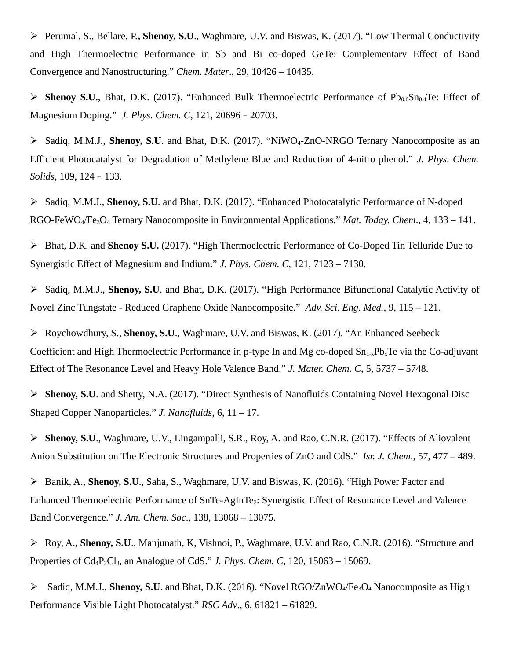Perumal, S., Bellare, P.**, Shenoy, S.U**., Waghmare, U.V. and Biswas, K. (2017). "Low Thermal Conductivity and High Thermoelectric Performance in Sb and Bi co-doped GeTe: Complementary Effect of Band Convergence and Nanostructuring." *Chem. Mater*., 29, 10426 – 10435.

**Shenoy S.U.**, Bhat, D.K. (2017). "Enhanced Bulk Thermoelectric Performance of  $Pb_{0.6}Sn_{0.4}Te$ : Effect of Magnesium Doping." *J. Phys. Chem. C*, 121, 20696 – 20703.

 Sadiq, M.M.J., **Shenoy, S.U**. and Bhat, D.K. (2017). "NiWO4-ZnO-NRGO Ternary Nanocomposite as an Efficient Photocatalyst for Degradation of Methylene Blue and Reduction of 4-nitro phenol." *J. Phys. Chem. Solids*, 109, 124 – 133.

 Sadiq, M.M.J., **Shenoy, S.U**. and Bhat, D.K. (2017). "Enhanced Photocatalytic Performance of N-doped RGO-FeWO4/Fe3O4 Ternary Nanocomposite in Environmental Applications." *Mat. Today. Chem*., 4, 133 – 141.

 Bhat, D.K. and **Shenoy S.U.** (2017). "High Thermoelectric Performance of Co-Doped Tin Telluride Due to Synergistic Effect of Magnesium and Indium." *J. Phys. Chem. C*, 121, 7123 – 7130.

 Sadiq, M.M.J., **Shenoy, S.U**. and Bhat, D.K. (2017). "High Performance Bifunctional Catalytic Activity of Novel Zinc Tungstate - Reduced Graphene Oxide Nanocomposite." *Adv. Sci. Eng. Med.*, 9, 115 – 121.

 Roychowdhury, S., **Shenoy, S.U**., Waghmare, U.V. and Biswas, K. (2017). "An Enhanced Seebeck Coefficient and High Thermoelectric Performance in p-type In and Mg co-doped  $Sn_{1-x}Pb_xTe$  via the Co-adjuvant Effect of The Resonance Level and Heavy Hole Valence Band." *J. Mater. Chem. C*, 5, 5737 – 5748.

 **Shenoy, S.U**. and Shetty, N.A. (2017). "Direct Synthesis of Nanofluids Containing Novel Hexagonal Disc Shaped Copper Nanoparticles." *J. Nanofluids*, 6, 11 – 17.

 **Shenoy, S.U**., Waghmare, U.V., Lingampalli, S.R., Roy, A. and Rao, C.N.R. (2017). "Effects of Aliovalent Anion Substitution on The Electronic Structures and Properties of ZnO and CdS." *Isr. J. Chem*., 57, 477 – 489.

 Banik, A., **Shenoy, S.U**., Saha, S., Waghmare, U.V. and Biswas, K. (2016). "High Power Factor and Enhanced Thermoelectric Performance of SnTe-AgInTe2: Synergistic Effect of Resonance Level and Valence Band Convergence." *J. Am. Chem. Soc*., 138, 13068 – 13075.

 Roy, A., **Shenoy, S.U**., Manjunath, K, Vishnoi, P., Waghmare, U.V. and Rao, C.N.R. (2016). "Structure and Properties of Cd4P2Cl3, an Analogue of CdS." *J. Phys. Chem. C*, 120, 15063 – 15069.

▶ Sadiq, M.M.J., **Shenoy, S.U**. and Bhat, D.K. (2016). "Novel RGO/ZnWO<sub>4</sub>/Fe<sub>3</sub>O<sub>4</sub> Nanocomposite as High Performance Visible Light Photocatalyst." *RSC Adv*., 6, 61821 – 61829.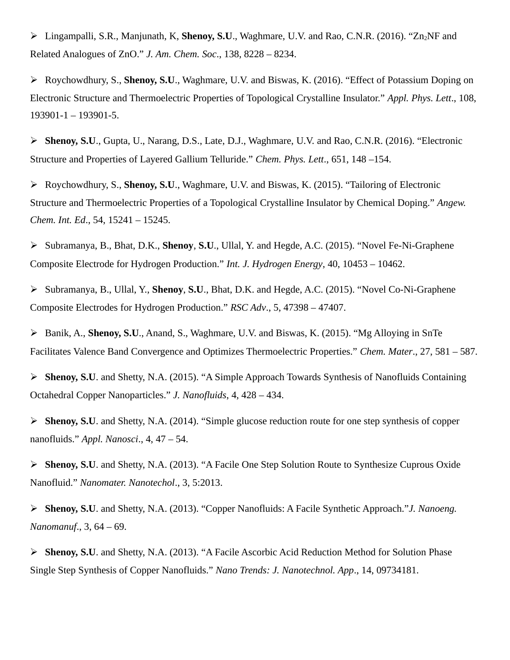Lingampalli, S.R., Manjunath, K, **Shenoy, S.U**., Waghmare, U.V. and Rao, C.N.R. (2016). "Zn2NF and Related Analogues of ZnO." *J. Am. Chem. Soc*., 138, 8228 – 8234.

 Roychowdhury, S., **Shenoy, S.U**., Waghmare, U.V. and Biswas, K. (2016). "Effect of Potassium Doping on Electronic Structure and Thermoelectric Properties of Topological Crystalline Insulator." *Appl. Phys. Lett*., 108, 193901-1 – 193901-5.

 **Shenoy, S.U**., Gupta, U., Narang, D.S., Late, D.J., Waghmare, U.V. and Rao, C.N.R. (2016). "Electronic Structure and Properties of Layered Gallium Telluride." *Chem. Phys. Lett*., 651, 148 –154.

 Roychowdhury, S., **Shenoy, S.U**., Waghmare, U.V. and Biswas, K. (2015). "Tailoring of Electronic Structure and Thermoelectric Properties of a Topological Crystalline Insulator by Chemical Doping." *Angew. Chem. Int. Ed*., 54, 15241 – 15245.

 Subramanya, B., Bhat, D.K., **Shenoy**, **S.U**., Ullal, Y. and Hegde, A.C. (2015). "Novel Fe-Ni-Graphene Composite Electrode for Hydrogen Production." *Int. J. Hydrogen Energy*, 40, 10453 – 10462.

 Subramanya, B., Ullal, Y., **Shenoy**, **S.U**., Bhat, D.K. and Hegde, A.C. (2015). "Novel Co-Ni-Graphene Composite Electrodes for Hydrogen Production." *RSC Adv*., 5, 47398 – 47407.

 Banik, A., **Shenoy, S.U**., Anand, S., Waghmare, U.V. and Biswas, K. (2015). "Mg Alloying in SnTe Facilitates Valence Band Convergence and Optimizes Thermoelectric Properties." *Chem. Mater*., 27, 581 – 587.

 **Shenoy, S.U**. and Shetty, N.A. (2015). "A Simple Approach Towards Synthesis of Nanofluids Containing Octahedral Copper Nanoparticles." *J. Nanofluids*, 4, 428 – 434.

 **Shenoy, S.U**. and Shetty, N.A. (2014). "Simple glucose reduction route for one step synthesis of copper nanofluids." *Appl. Nanosci*., 4, 47 – 54.

 **Shenoy, S.U**. and Shetty, N.A. (2013). "A Facile One Step Solution Route to Synthesize Cuprous Oxide Nanofluid." *Nanomater. Nanotechol*., 3, 5:2013.

 **Shenoy, S.U**. and Shetty, N.A. (2013). "Copper Nanofluids: A Facile Synthetic Approach."*J. Nanoeng. Nanomanuf*., 3, 64 – 69.

 **Shenoy, S.U**. and Shetty, N.A. (2013). "A Facile Ascorbic Acid Reduction Method for Solution Phase Single Step Synthesis of Copper Nanofluids." *Nano Trends: J. Nanotechnol. App*., 14, 09734181.